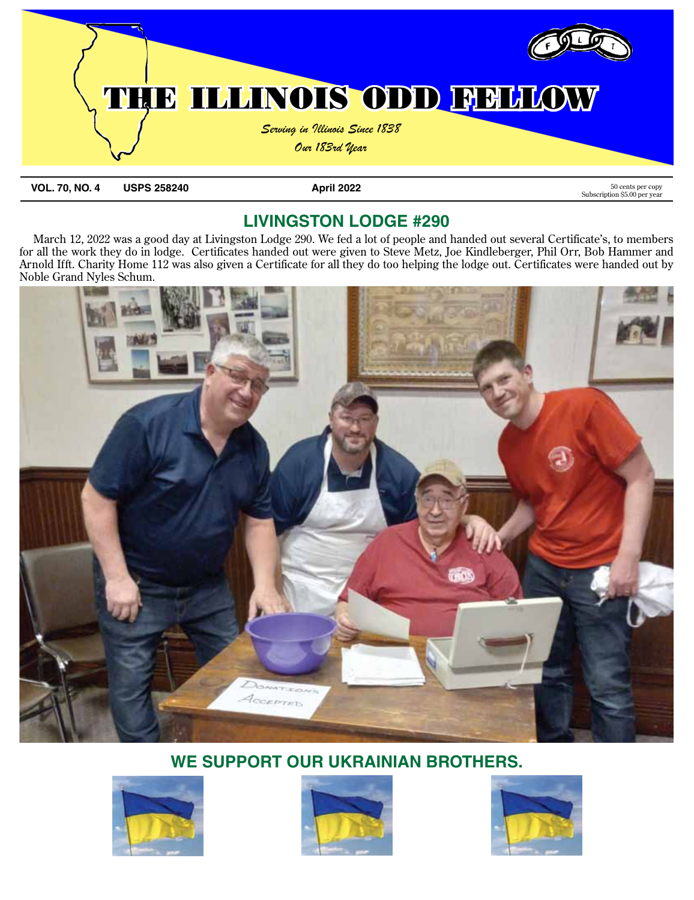

**VOL. 70, NO. 4 USPS 258240 April 2022** 50 cents per copy

Subscription \$5.00 per year

# **Livingston Lodge #290**

March 12, 2022 was a good day at Livingston Lodge 290. We fed a lot of people and handed out several Certificate's, to members for all the work they do in lodge. Certificates handed out were given to Steve Metz, Joe Kindleberger, Phil Orr, Bob Hammer and Arnold Ifft. Charity Home 112 was also given a Certificate for all they do too helping the lodge out. Certificates were handed out by Noble Grand Nyles Schum.



# **WE SUPPORT OUR UKRAINIAN BROTHERS.**





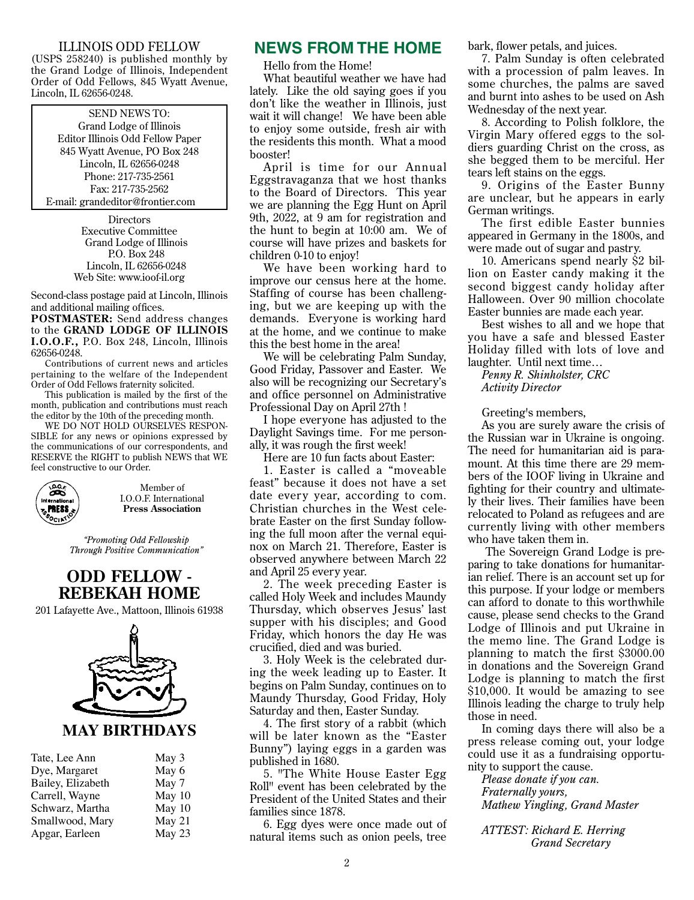#### ILLINOIS ODD FELLOW

(USPS 258240) is published monthly by the Grand Lodge of Illinois, Independent Order of Odd Fellows, 845 Wyatt Avenue, Lincoln, IL 62656-0248.

#### SEND NEWS TO:

Grand Lodge of Illinois Editor Illinois Odd Fellow Paper 845 Wyatt Avenue, PO Box 248 Lincoln, IL 62656-0248 Phone: 217-735-2561 Fax: 217-735-2562 E-mail: grandeditor@frontier.com

> **Directors** Executive Committee Grand Lodge of Illinois P.O. Box 248 Lincoln, IL 62656-0248 Web Site: www.ioof-il.org

Second-class postage paid at Lincoln, Illinois and additional mailing offices.

**POSTMASTER:** Send address changes to the **GRAND LODGE OF ILLINOIS I.O.O.F.,** P.O. Box 248, Lincoln, Illinois 62656-0248.

Contributions of current news and articles pertaining to the welfare of the Independent Order of Odd Fellows fraternity solicited.

This publication is mailed by the first of the month, publication and contributions must reach the editor by the 10th of the preceding month.

WE DO NOT HOLD OURSELVES RESPON-SIBLE for any news or opinions expressed by the communications of our correspondents, and RESERVE the RIGHT to publish NEWS that WE feel constructive to our Order.



Member of I.O.O.F. International **Press Association**

*"Promoting Odd Fellowship Through Positive Communication"*

### **ODD FELLOW - REBEKAH HOME**

201 Lafayette Ave., Mattoon, Illinois 61938



| Tate, Lee Ann     | May 3  |
|-------------------|--------|
| Dye, Margaret     | May 6  |
| Bailey, Elizabeth | May 7  |
| Carrell, Wayne    | May 10 |
| Schwarz, Martha   | May 10 |
| Smallwood, Mary   | May 21 |
| Apgar, Earleen    | May 23 |

#### **NEWS FROM THE HOME**

Hello from the Home!

What beautiful weather we have had lately. Like the old saying goes if you don't like the weather in Illinois, just wait it will change! We have been able to enjoy some outside, fresh air with the residents this month. What a mood booster!

April is time for our Annual Eggstravaganza that we host thanks to the Board of Directors. This year we are planning the Egg Hunt on April 9th, 2022, at 9 am for registration and the hunt to begin at 10:00 am. We of course will have prizes and baskets for children 0-10 to enjoy!

We have been working hard to improve our census here at the home. Staffing of course has been challenging, but we are keeping up with the demands. Everyone is working hard at the home, and we continue to make this the best home in the area!

We will be celebrating Palm Sunday, Good Friday, Passover and Easter. We also will be recognizing our Secretary's and office personnel on Administrative Professional Day on April 27th !

I hope everyone has adjusted to the Daylight Savings time. For me personally, it was rough the first week!

Here are 10 fun facts about Easter:

1. Easter is called a "moveable feast" because it does not have a set date every year, according to com. Christian churches in the West celebrate Easter on the first Sunday following the full moon after the vernal equinox on March 21. Therefore, Easter is observed anywhere between March 22 and April 25 every year.

2. The week preceding Easter is called Holy Week and includes Maundy Thursday, which observes Jesus' last supper with his disciples; and Good Friday, which honors the day He was crucified, died and was buried.

3. Holy Week is the celebrated during the week leading up to Easter. It begins on Palm Sunday, continues on to Maundy Thursday, Good Friday, Holy Saturday and then, Easter Sunday.

4. The first story of a rabbit (which will be later known as the "Easter Bunny") laying eggs in a garden was published in 1680.

5. "The White House Easter Egg Roll" event has been celebrated by the President of the United States and their families since 1878.

6. Egg dyes were once made out of natural items such as onion peels, tree

bark, flower petals, and juices.

7. Palm Sunday is often celebrated with a procession of palm leaves. In some churches, the palms are saved and burnt into ashes to be used on Ash Wednesday of the next year.

8. According to Polish folklore, the Virgin Mary offered eggs to the soldiers guarding Christ on the cross, as she begged them to be merciful. Her tears left stains on the eggs.

9. Origins of the Easter Bunny are unclear, but he appears in early German writings.

The first edible Easter bunnies appeared in Germany in the 1800s, and were made out of sugar and pastry.

10. Americans spend nearly \$2 billion on Easter candy making it the second biggest candy holiday after Halloween. Over 90 million chocolate Easter bunnies are made each year.

Best wishes to all and we hope that you have a safe and blessed Easter Holiday filled with lots of love and laughter. Until next time…

*Penny R. Shinholster, CRC Activity Director*

Greeting's members,

As you are surely aware the crisis of the Russian war in Ukraine is ongoing. The need for humanitarian aid is paramount. At this time there are 29 members of the IOOF living in Ukraine and fighting for their country and ultimately their lives. Their families have been relocated to Poland as refugees and are currently living with other members who have taken them in.

 The Sovereign Grand Lodge is preparing to take donations for humanitarian relief. There is an account set up for this purpose. If your lodge or members can afford to donate to this worthwhile cause, please send checks to the Grand Lodge of Illinois and put Ukraine in the memo line. The Grand Lodge is planning to match the first \$3000.00 in donations and the Sovereign Grand Lodge is planning to match the first \$10,000. It would be amazing to see Illinois leading the charge to truly help those in need.

In coming days there will also be a press release coming out, your lodge could use it as a fundraising opportunity to support the cause.

*Please donate if you can. Fraternally yours, Mathew Yingling, Grand Master*

*ATTEST: Richard E. Herring Grand Secretary*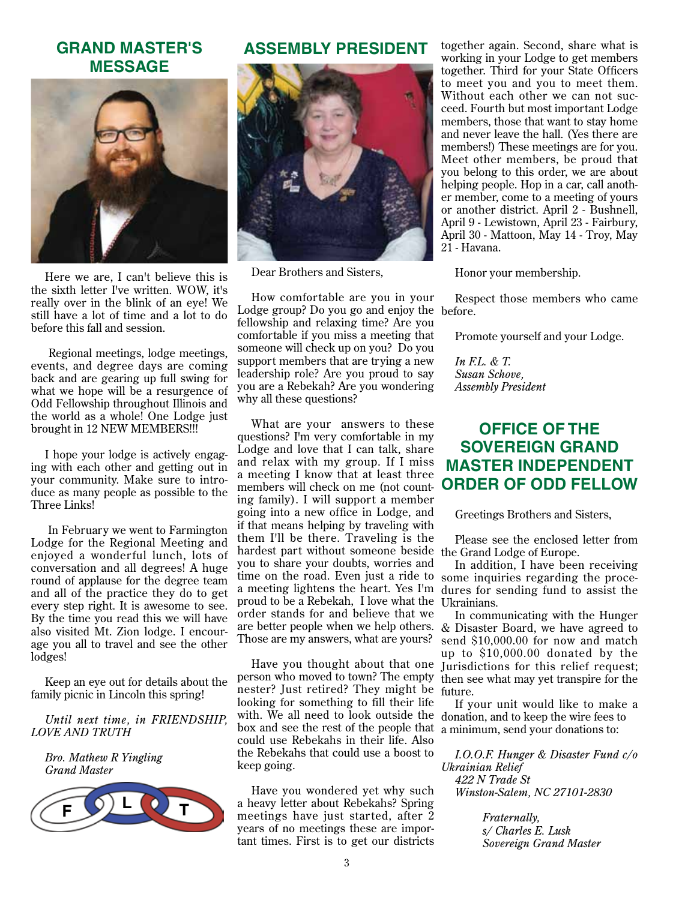## **GRAND MASTER'S MESSAGE**



Here we are, I can't believe this is the sixth letter I've written. WOW, it's really over in the blink of an eye! We still have a lot of time and a lot to do before this fall and session.

 Regional meetings, lodge meetings, events, and degree days are coming back and are gearing up full swing for what we hope will be a resurgence of Odd Fellowship throughout Illinois and the world as a whole! One Lodge just brought in 12 NEW MEMBERS!!!

I hope your lodge is actively engaging with each other and getting out in your community. Make sure to introduce as many people as possible to the Three Links!

 In February we went to Farmington Lodge for the Regional Meeting and enjoyed a wonderful lunch, lots of conversation and all degrees! A huge round of applause for the degree team and all of the practice they do to get every step right. It is awesome to see. By the time you read this we will have also visited Mt. Zion lodge. I encourage you all to travel and see the other lodges!

Keep an eye out for details about the family picnic in Lincoln this spring!

#### *Until next time, in FRIENDSHIP, LOVE AND TRUTH*

*Bro. Mathew R Yingling Grand Master*



#### **ASSEMBLY PRESIDENT**



Dear Brothers and Sisters,

How comfortable are you in your Lodge group? Do you go and enjoy the before. fellowship and relaxing time? Are you comfortable if you miss a meeting that someone will check up on you? Do you support members that are trying a new leadership role? Are you proud to say you are a Rebekah? Are you wondering why all these questions?

What are your answers to these questions? I'm very comfortable in my Lodge and love that I can talk, share and relax with my group. If I miss a meeting I know that at least three members will check on me (not counting family). I will support a member going into a new office in Lodge, and if that means helping by traveling with them I'll be there. Traveling is the hardest part without someone beside the Grand Lodge of Europe. you to share your doubts, worries and time on the road. Even just a ride to some inquiries regarding the procea meeting lightens the heart. Yes I'm dures for sending fund to assist the proud to be a Rebekah, I love what the Ukrainians. order stands for and believe that we are better people when we help others. & Disaster Board, we have agreed to Those are my answers, what are yours?

person who moved to town? The empty then see what may yet transpire for the nester? Just retired? They might be future. looking for something to fill their life with. We all need to look outside the donation, and to keep the wire fees to box and see the rest of the people that a minimum, send your donations to: could use Rebekahs in their life. Also the Rebekahs that could use a boost to keep going.

Have you wondered yet why such a heavy letter about Rebekahs? Spring meetings have just started, after 2 years of no meetings these are important times. First is to get our districts

together again. Second, share what is working in your Lodge to get members together. Third for your State Officers to meet you and you to meet them. Without each other we can not succeed. Fourth but most important Lodge members, those that want to stay home and never leave the hall. (Yes there are members!) These meetings are for you. Meet other members, be proud that you belong to this order, we are about helping people. Hop in a car, call another member, come to a meeting of yours or another district. April 2 - Bushnell, April 9 - Lewistown, April 23 - Fairbury, April 30 - Mattoon, May 14 - Troy, May 21 - Havana.

Honor your membership.

Respect those members who came

Promote yourself and your Lodge.

*In F.L. & T. Susan Schove, Assembly President*

## **Office of the Sovereign Grand Master Independent Order of Odd Fellow**

Greetings Brothers and Sisters,

Please see the enclosed letter from

In addition, I have been receiving

Have you thought about that one Jurisdictions for this relief request; In communicating with the Hunger send \$10,000.00 for now and match up to \$10,000.00 donated by the

If your unit would like to make a

*I.O.O.F. Hunger & Disaster Fund c/o Ukrainian Relief 422 N Trade St Winston-Salem, NC 27101-2830* 

> *Fraternally, s/ Charles E. Lusk Sovereign Grand Master*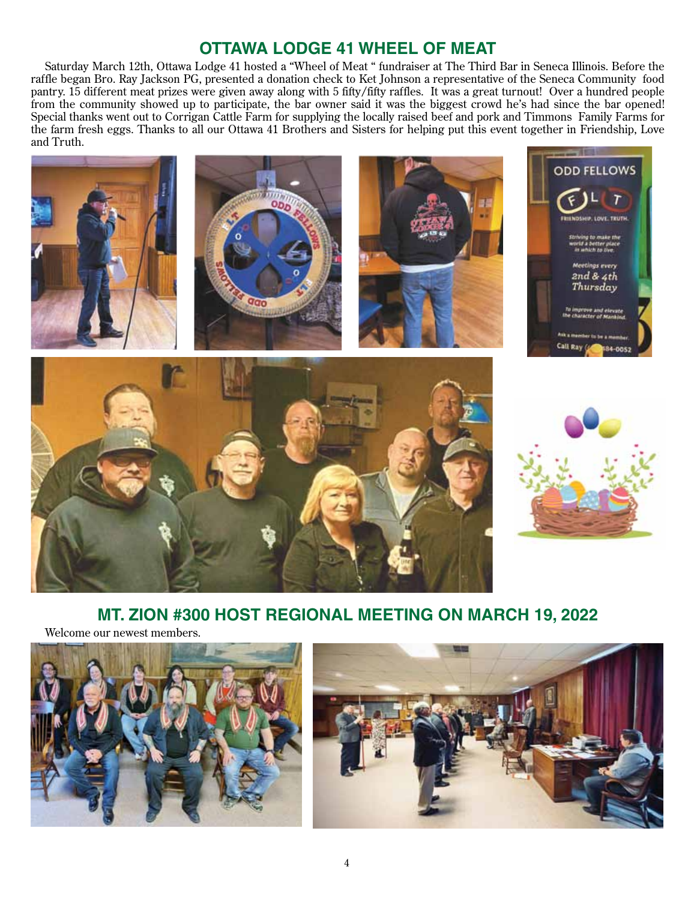# **Ottawa Lodge 41 WHEEL OF MEAT**

Saturday March 12th, Ottawa Lodge 41 hosted a "Wheel of Meat " fundraiser at The Third Bar in Seneca Illinois. Before the raffle began Bro. Ray Jackson PG, presented a donation check to Ket Johnson a representative of the Seneca Community food pantry. 15 different meat prizes were given away along with 5 fifty/fifty raffles. It was a great turnout! Over a hundred people from the community showed up to participate, the bar owner said it was the biggest crowd he's had since the bar opened! Special thanks went out to Corrigan Cattle Farm for supplying the locally raised beef and pork and Timmons Family Farms for the farm fresh eggs. Thanks to all our Ottawa 41 Brothers and Sisters for helping put this event together in Friendship, Love and Truth.



## **MT. ZION #300 HOST REGIONAL MEETING ON MARCH 19, 2022**

Welcome our newest members.



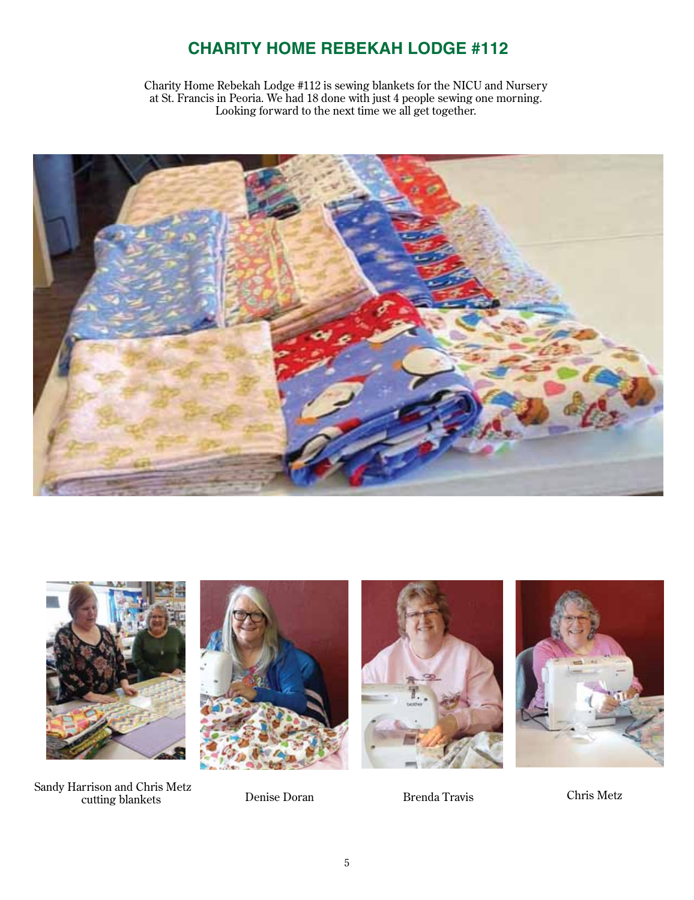# **CHARITY HOME REBEKAH LODGE #112**

Charity Home Rebekah Lodge #112 is sewing blankets for the NICU and Nursery at St. Francis in Peoria. We had 18 done with just 4 people sewing one morning. Looking forward to the next time we all get together.





Sandy Harrison and Chris Metz cutting blankets Denise Doran Brenda Travis Chris Metz





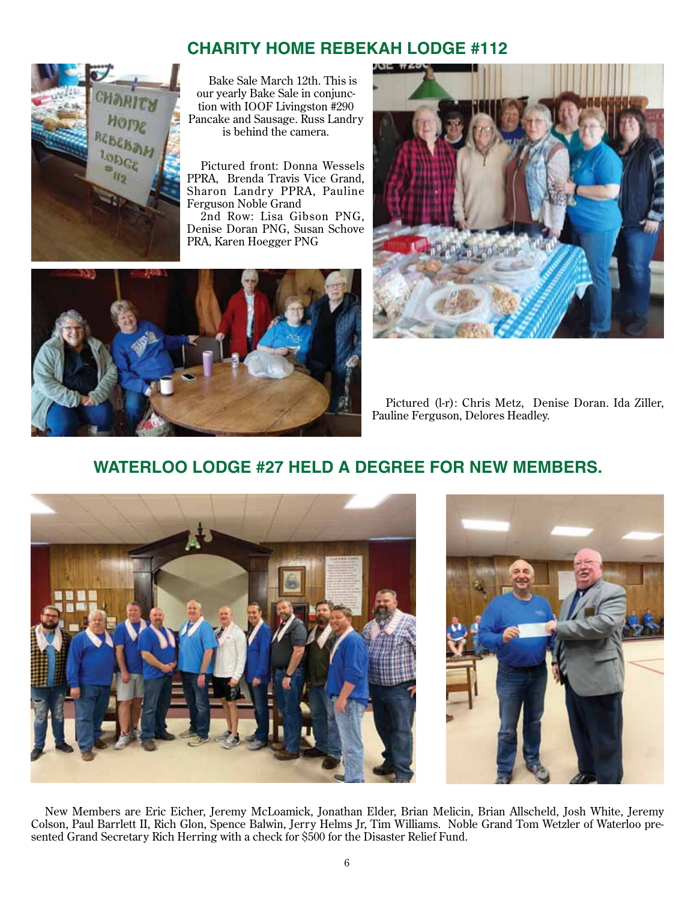# **CHARITY HOME REBEKAH LODGE #112**



Bake Sale March 12th. This is our yearly Bake Sale in conjunction with IOOF Livingston #290 Pancake and Sausage. Russ Landry is behind the camera.

Pictured front: Donna Wessels PPRA, Brenda Travis Vice Grand, Sharon Landry PPRA, Pauline Ferguson Noble Grand

2nd Row: Lisa Gibson PNG, Denise Doran PNG, Susan Schove PRA, Karen Hoegger PNG





Pictured (l-r): Chris Metz, Denise Doran. Ida Ziller, Pauline Ferguson, Delores Headley.

# **WATERLOO LODGE #27 HELD A DEGREE FOR NEW MEMBERS.**





New Members are Eric Eicher, Jeremy McLoamick, Jonathan Elder, Brian Melicin, Brian Allscheld, Josh White, Jeremy Colson, Paul Barrlett II, Rich Glon, Spence Balwin, Jerry Helms Jr, Tim Williams. Noble Grand Tom Wetzler of Waterloo presented Grand Secretary Rich Herring with a check for \$500 for the Disaster Relief Fund.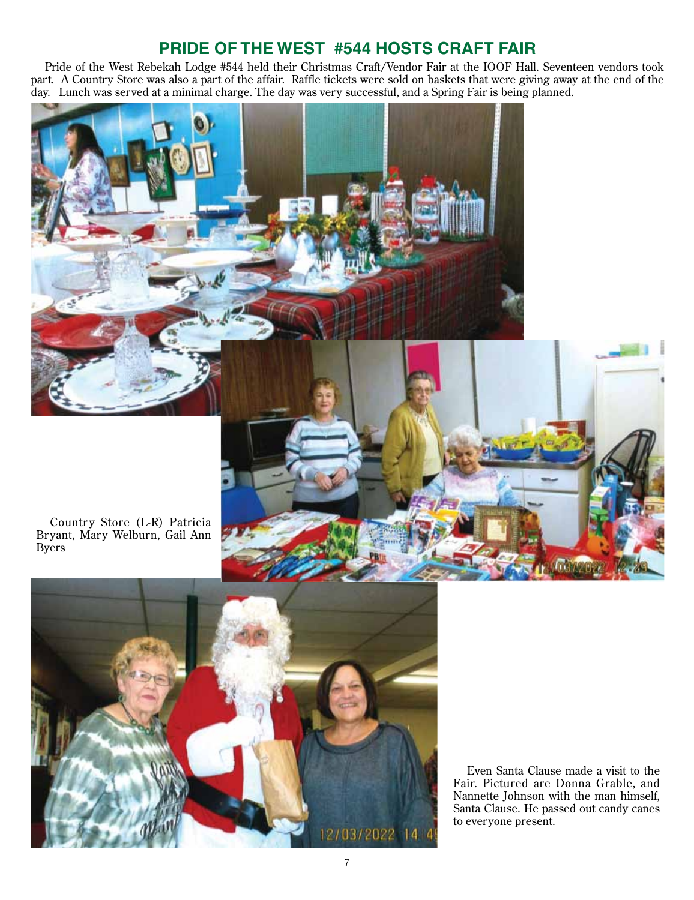# **PRIDE OF THE WEST #544 HOSTS CRAFT FAIR**

Pride of the West Rebekah Lodge #544 held their Christmas Craft/Vendor Fair at the IOOF Hall. Seventeen vendors took part. A Country Store was also a part of the affair. Raffle tickets were sold on baskets that were giving away at the end of the day. Lunch was served at a minimal charge. The day was very successful, and a Spring Fair is being planned.



Country Store (L-R) Patricia Bryant, Mary Welburn, Gail Ann Byers



Even Santa Clause made a visit to the Fair. Pictured are Donna Grable, and Nannette Johnson with the man himself, Santa Clause. He passed out candy canes to everyone present.